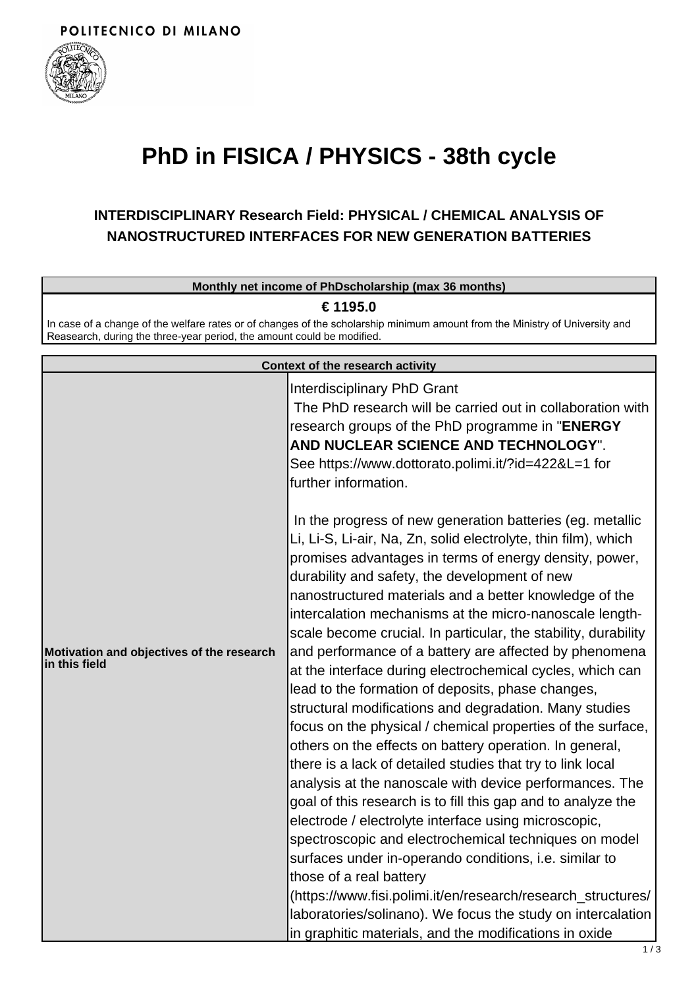

## **PhD in FISICA / PHYSICS - 38th cycle**

## **INTERDISCIPLINARY Research Field: PHYSICAL / CHEMICAL ANALYSIS OF NANOSTRUCTURED INTERFACES FOR NEW GENERATION BATTERIES**

|                                                                                                                                          | Monthly net income of PhDscholarship (max 36 months)                                                                                                                                                                                                                                                                                                                                                                                                                                                                                                                                                                                                                                                                                                                                                                                                                                                                                                                                                                                                                                                                                                                                                                                                                                                                                                                                                                                                                                                                                                                                                                                                         |  |
|------------------------------------------------------------------------------------------------------------------------------------------|--------------------------------------------------------------------------------------------------------------------------------------------------------------------------------------------------------------------------------------------------------------------------------------------------------------------------------------------------------------------------------------------------------------------------------------------------------------------------------------------------------------------------------------------------------------------------------------------------------------------------------------------------------------------------------------------------------------------------------------------------------------------------------------------------------------------------------------------------------------------------------------------------------------------------------------------------------------------------------------------------------------------------------------------------------------------------------------------------------------------------------------------------------------------------------------------------------------------------------------------------------------------------------------------------------------------------------------------------------------------------------------------------------------------------------------------------------------------------------------------------------------------------------------------------------------------------------------------------------------------------------------------------------------|--|
| € 1195.0<br>In case of a change of the welfare rates or of changes of the scholarship minimum amount from the Ministry of University and |                                                                                                                                                                                                                                                                                                                                                                                                                                                                                                                                                                                                                                                                                                                                                                                                                                                                                                                                                                                                                                                                                                                                                                                                                                                                                                                                                                                                                                                                                                                                                                                                                                                              |  |
| Reasearch, during the three-year period, the amount could be modified.                                                                   |                                                                                                                                                                                                                                                                                                                                                                                                                                                                                                                                                                                                                                                                                                                                                                                                                                                                                                                                                                                                                                                                                                                                                                                                                                                                                                                                                                                                                                                                                                                                                                                                                                                              |  |
| Context of the research activity                                                                                                         |                                                                                                                                                                                                                                                                                                                                                                                                                                                                                                                                                                                                                                                                                                                                                                                                                                                                                                                                                                                                                                                                                                                                                                                                                                                                                                                                                                                                                                                                                                                                                                                                                                                              |  |
| Motivation and objectives of the research<br>in this field                                                                               | Interdisciplinary PhD Grant<br>The PhD research will be carried out in collaboration with<br>research groups of the PhD programme in "ENERGY<br>AND NUCLEAR SCIENCE AND TECHNOLOGY".<br>See https://www.dottorato.polimi.it/?id=422&L=1 for<br>further information.<br>In the progress of new generation batteries (eg. metallic<br>Li, Li-S, Li-air, Na, Zn, solid electrolyte, thin film), which<br>promises advantages in terms of energy density, power,<br>durability and safety, the development of new<br>nanostructured materials and a better knowledge of the<br>intercalation mechanisms at the micro-nanoscale length-<br>scale become crucial. In particular, the stability, durability<br>and performance of a battery are affected by phenomena<br>at the interface during electrochemical cycles, which can<br>lead to the formation of deposits, phase changes,<br>structural modifications and degradation. Many studies<br>focus on the physical / chemical properties of the surface,<br>others on the effects on battery operation. In general,<br>there is a lack of detailed studies that try to link local<br>analysis at the nanoscale with device performances. The<br>goal of this research is to fill this gap and to analyze the<br>electrode / electrolyte interface using microscopic,<br>spectroscopic and electrochemical techniques on model<br>surfaces under in-operando conditions, i.e. similar to<br>those of a real battery<br>(https://www.fisi.polimi.it/en/research/research_structures/<br>laboratories/solinano). We focus the study on intercalation<br>in graphitic materials, and the modifications in oxide |  |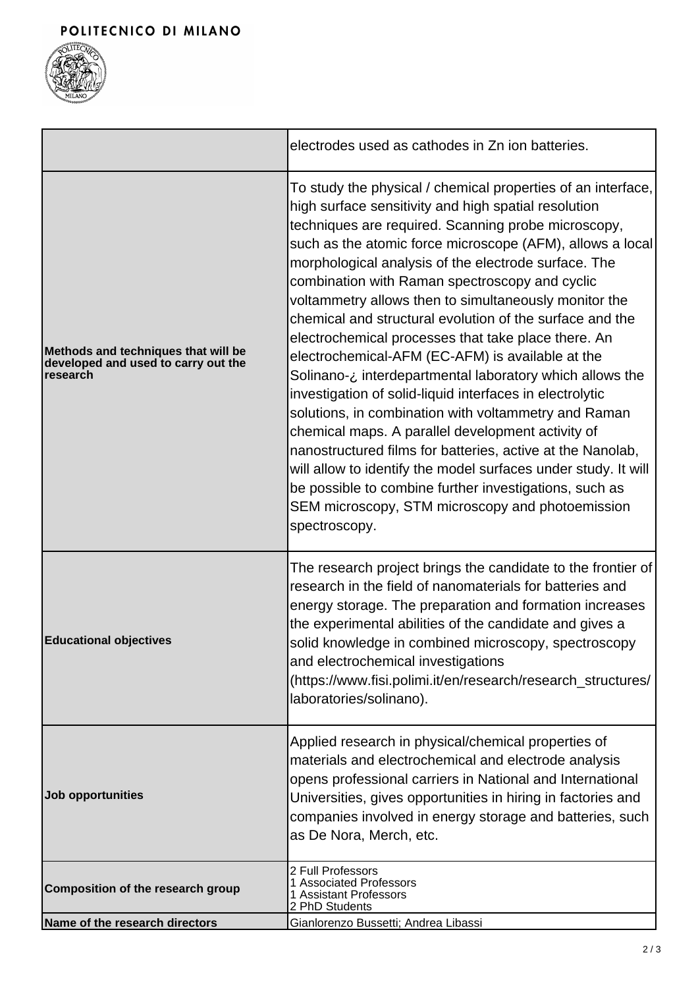

|                                                                                        | electrodes used as cathodes in Zn ion batteries.                                                                                                                                                                                                                                                                                                                                                                                                                                                                                                                                                                                                                                                                                                                                                                                                                                                                                                                                                                                                                                       |
|----------------------------------------------------------------------------------------|----------------------------------------------------------------------------------------------------------------------------------------------------------------------------------------------------------------------------------------------------------------------------------------------------------------------------------------------------------------------------------------------------------------------------------------------------------------------------------------------------------------------------------------------------------------------------------------------------------------------------------------------------------------------------------------------------------------------------------------------------------------------------------------------------------------------------------------------------------------------------------------------------------------------------------------------------------------------------------------------------------------------------------------------------------------------------------------|
| Methods and techniques that will be<br>developed and used to carry out the<br>research | To study the physical / chemical properties of an interface,<br>high surface sensitivity and high spatial resolution<br>techniques are required. Scanning probe microscopy,<br>such as the atomic force microscope (AFM), allows a local<br>morphological analysis of the electrode surface. The<br>combination with Raman spectroscopy and cyclic<br>voltammetry allows then to simultaneously monitor the<br>chemical and structural evolution of the surface and the<br>electrochemical processes that take place there. An<br>electrochemical-AFM (EC-AFM) is available at the<br>Solinano-¿ interdepartmental laboratory which allows the<br>investigation of solid-liquid interfaces in electrolytic<br>solutions, in combination with voltammetry and Raman<br>chemical maps. A parallel development activity of<br>nanostructured films for batteries, active at the Nanolab,<br>will allow to identify the model surfaces under study. It will<br>be possible to combine further investigations, such as<br>SEM microscopy, STM microscopy and photoemission<br>spectroscopy. |
| <b>Educational objectives</b>                                                          | The research project brings the candidate to the frontier of<br>research in the field of nanomaterials for batteries and<br>energy storage. The preparation and formation increases<br>the experimental abilities of the candidate and gives a<br>solid knowledge in combined microscopy, spectroscopy<br>and electrochemical investigations<br>(https://www.fisi.polimi.it/en/research/research_structures/<br>laboratories/solinano).                                                                                                                                                                                                                                                                                                                                                                                                                                                                                                                                                                                                                                                |
| Job opportunities                                                                      | Applied research in physical/chemical properties of<br>materials and electrochemical and electrode analysis<br>opens professional carriers in National and International<br>Universities, gives opportunities in hiring in factories and<br>companies involved in energy storage and batteries, such<br>as De Nora, Merch, etc.                                                                                                                                                                                                                                                                                                                                                                                                                                                                                                                                                                                                                                                                                                                                                        |
| <b>Composition of the research group</b>                                               | 2 Full Professors<br>1 Associated Professors<br>1 Assistant Professors<br>2 PhD Students                                                                                                                                                                                                                                                                                                                                                                                                                                                                                                                                                                                                                                                                                                                                                                                                                                                                                                                                                                                               |
| Name of the research directors                                                         | Gianlorenzo Bussetti; Andrea Libassi                                                                                                                                                                                                                                                                                                                                                                                                                                                                                                                                                                                                                                                                                                                                                                                                                                                                                                                                                                                                                                                   |